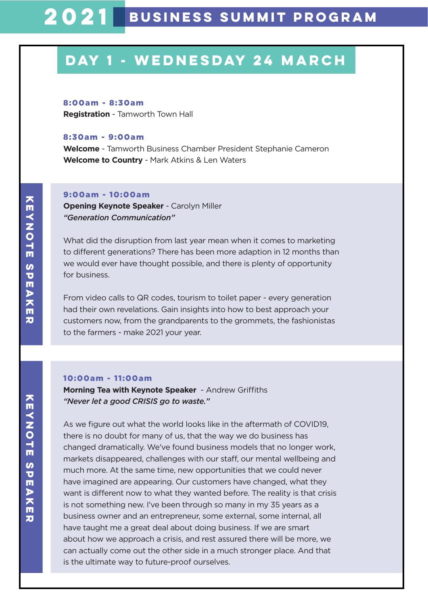#### 8:00am - 8:30am

**Registration** - Tamworth Town Hall

### 8:30am - 9:00am

**Welcome** - Tamworth Business Chamber President Stephanie Cameron **Welcome to Country** - Mark Atkins & Len Waters

#### 9:00am - 10:00am

**Opening Keynote Speaker** - Carolyn Miller *"Generation Communication"*

What did the disruption from last year mean when it comes to marketing to different generations? There has been more adaption in 12 months than we would ever have thought possible, and there is plenty of opportunity for business.

From video calls to QR codes, tourism to toilet paper - every generation had their own revelations. Gain insights into how to best approach your customers now, from the grandparents to the grommets, the fashionistas to the farmers - make 2021 your year.

### 10:00am - 11:00am

**Morning Tea with Keynote Speaker** - Andrew Griffiths *"Never let a good CRISIS go to waste."*

As we figure out what the world looks like in the aftermath of COVID19, there is no doubt for many of us, that the way we do business has changed dramatically. We've found business models that no longer work, markets disappeared, challenges with our staff, our mental wellbeing and much more. At the same time, new opportunities that we could never have imagined are appearing. Our customers have changed, what they want is different now to what they wanted before. The reality is that crisis is not something new. I've been through so many in my 35 years as a business owner and an entrepreneur, some external, some internal, all have taught me a great deal about doing business. If we are smart about how we approach a crisis, and rest assured there will be more, we can actually come out the other side in a much stronger place. And that is the ultimate way to future-proof ourselves.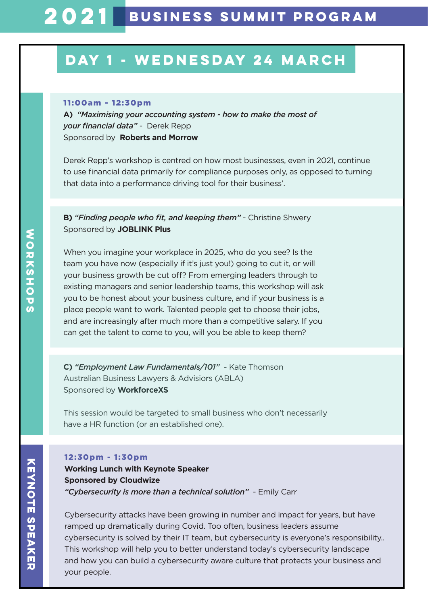### 11:00am - 12:30pm

**A)** *"Maximising your accounting system - how to make the most of your financial data"* - Derek Repp Sponsored by**Roberts and Morrow**

Derek Repp's workshop is centred on how most businesses, even in 2021, continue to use financial data primarily for compliance purposes only, as opposed to turning that data into a performance driving tool for their business'.

**B)** *"Finding people who fit, and keeping them"* - Christine Shwery Sponsored by **JOBLINK Plus**

When you imagine your workplace in 2025, who do you see? Is the team you have now (especially if it's just you!) going to cut it, or will your business growth be cut off? From emerging leaders through to existing managers and senior leadership teams, this workshop will ask you to be honest about your business culture, and if your business is a place people want to work. Talented people get to choose their jobs, and are increasingly after much more than a competitive salary. If you can get the talent to come to you, will you be able to keep them?

**C)** *"Employment Law Fundamentals/101"* - Kate Thomson Australian Business Lawyers & Advisiors (ABLA) Sponsored by **WorkforceXS**

This session would be targeted to small business who don't necessarily have a HR function (or an established one).

### 12:30pm - 1:30pm

**Working Lunch with Keynote Speaker Sponsored by Cloudwize**  *"Cybersecurity is more than a technical solution"* - Emily Carr

Cybersecurity attacks have been growing in number and impact for years, but have ramped up dramatically during Covid. Too often, business leaders assume cybersecurity is solved by their IT team, but cybersecurity is everyone's responsibility.. This workshop will help you to better understand today's cybersecurity landscape and how you can build a cybersecurity aware culture that protects your business and your people.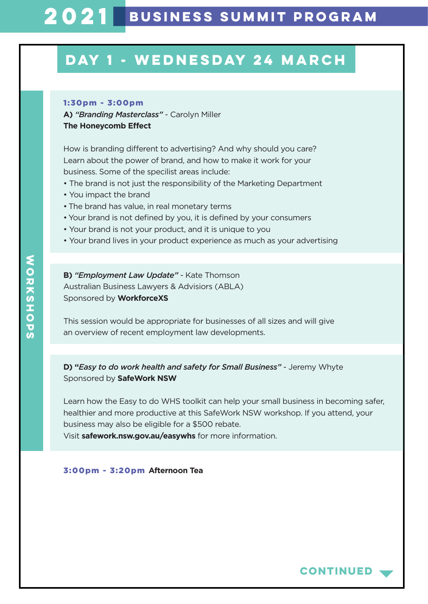### 1:30pm - 3:00pm

**A)** *"Branding Masterclass"* - Carolyn Miller **The Honeycomb Effect** 

How is branding different to advertising? And why should you care? Learn about the power of brand, and how to make it work for your business. Some of the specilist areas include:

- The brand is not just the responsibility of the Marketing Department
- You impact the brand
- The brand has value, in real monetary terms
- Your brand is not defined by you, it is defined by your consumers
- Your brand is not your product, and it is unique to you
- Your brand lives in your product experience as much as your advertising

**B)** *"Employment Law Update"* - Kate Thomson Australian Business Lawyers & Advisiors (ABLA) Sponsored by **WorkforceXS**

This session would be appropriate for businesses of all sizes and will give an overview of recent employment law developments.

**D) "***Easy to do work health and safety for Small Business"* - Jeremy Whyte Sponsored by **SafeWork NSW**

Learn how the Easy to do WHS toolkit can help your small business in becoming safer, healthier and more productive at this SafeWork NSW workshop. If you attend, your business may also be eligible for a \$500 rebate.

Visit **safework.nsw.gov.au/easywhs** for more information.

#### 3:00pm - 3:20pm **Afternoon Tea**